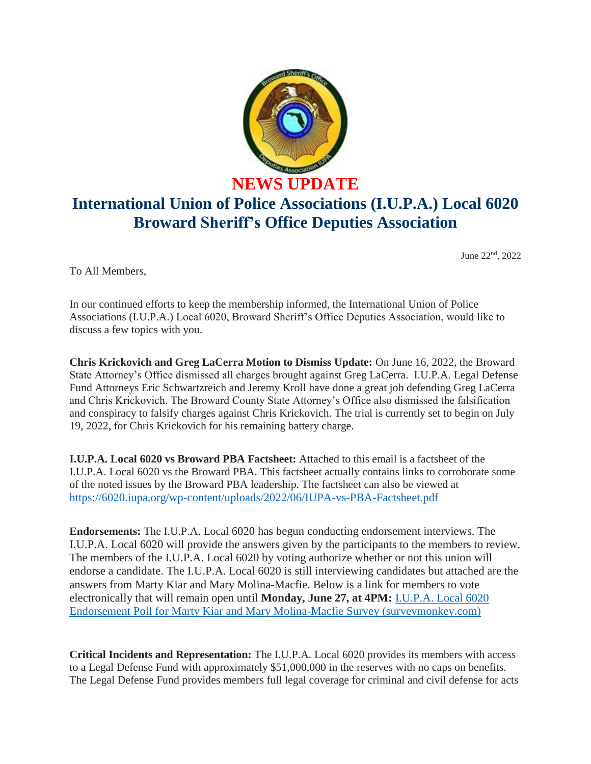

## **NEWS UPDATE International Union of Police Associations (I.U.P.A.) Local 6020**

**Broward Sheriff's Office Deputies Association**

June 22nd, 2022

To All Members,

In our continued efforts to keep the membership informed, the International Union of Police Associations (I.U.P.A.) Local 6020, Broward Sheriff's Office Deputies Association, would like to discuss a few topics with you.

**Chris Krickovich and Greg LaCerra Motion to Dismiss Update:** On June 16, 2022, the Broward State Attorney's Office dismissed all charges brought against Greg LaCerra. I.U.P.A. Legal Defense Fund Attorneys Eric Schwartzreich and Jeremy Kroll have done a great job defending Greg LaCerra and Chris Krickovich. The Broward County State Attorney's Office also dismissed the falsification and conspiracy to falsify charges against Chris Krickovich. The trial is currently set to begin on July 19, 2022, for Chris Krickovich for his remaining battery charge.

**I.U.P.A. Local 6020 vs Broward PBA Factsheet:** Attached to this email is a factsheet of the I.U.P.A. Local 6020 vs the Broward PBA. This factsheet actually contains links to corroborate some of the noted issues by the Broward PBA leadership. The factsheet can also be viewed at <https://6020.iupa.org/wp-content/uploads/2022/06/IUPA-vs-PBA-Factsheet.pdf>

**Endorsements:** The I.U.P.A. Local 6020 has begun conducting endorsement interviews. The I.U.P.A. Local 6020 will provide the answers given by the participants to the members to review. The members of the I.U.P.A. Local 6020 by voting authorize whether or not this union will endorse a candidate. The I.U.P.A. Local 6020 is still interviewing candidates but attached are the answers from Marty Kiar and Mary Molina-Macfie. Below is a link for members to vote electronically that will remain open until **Monday, June 27, at 4PM:** [I.U.P.A. Local 6020](https://www.surveymonkey.com/r/GTCHGKT)  [Endorsement Poll for Marty Kiar and Mary Molina-Macfie Survey \(surveymonkey.com\)](https://www.surveymonkey.com/r/GTCHGKT)

**Critical Incidents and Representation:** The I.U.P.A. Local 6020 provides its members with access to a Legal Defense Fund with approximately \$51,000,000 in the reserves with no caps on benefits. The Legal Defense Fund provides members full legal coverage for criminal and civil defense for acts